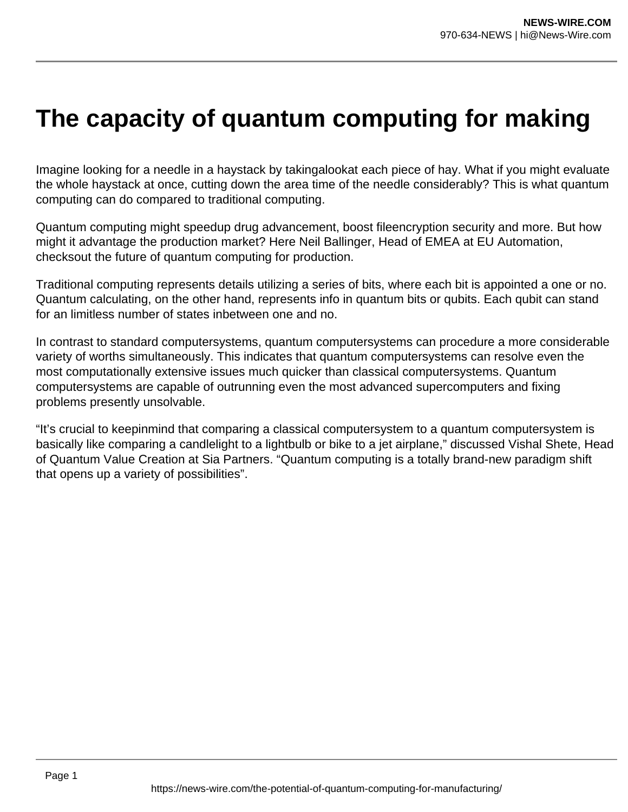## **The capacity of quantum computing for making**

Imagine looking for a needle in a haystack by takingalookat each piece of hay. What if you might evaluate the whole haystack at once, cutting down the area time of the needle considerably? This is what quantum computing can do compared to traditional computing.

Quantum computing might speedup drug advancement, boost fileencryption security and more. But how might it advantage the production market? Here Neil Ballinger, Head of EMEA at EU Automation, checksout the future of quantum computing for production.

Traditional computing represents details utilizing a series of bits, where each bit is appointed a one or no. Quantum calculating, on the other hand, represents info in quantum bits or qubits. Each qubit can stand for an limitless number of states inbetween one and no.

In contrast to standard computersystems, quantum computersystems can procedure a more considerable variety of worths simultaneously. This indicates that quantum computersystems can resolve even the most computationally extensive issues much quicker than classical computersystems. Quantum computersystems are capable of outrunning even the most advanced supercomputers and fixing problems presently unsolvable.

"It's crucial to keepinmind that comparing a classical computersystem to a quantum computersystem is basically like comparing a candlelight to a lightbulb or bike to a jet airplane," discussed Vishal Shete, Head of Quantum Value Creation at Sia Partners. "Quantum computing is a totally brand-new paradigm shift that opens up a variety of possibilities".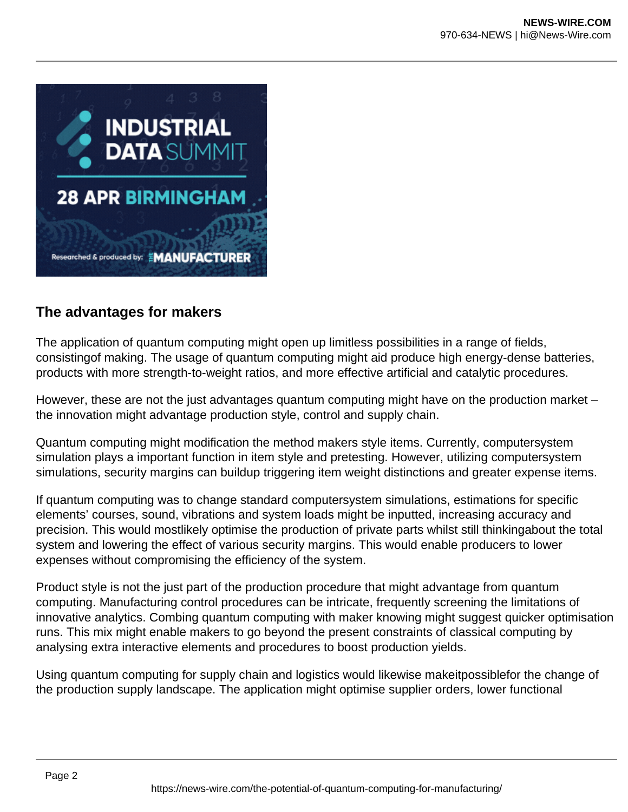

## **The advantages for makers**

The application of quantum computing might open up limitless possibilities in a range of fields, consistingof making. The usage of quantum computing might aid produce high energy-dense batteries, products with more strength-to-weight ratios, and more effective artificial and catalytic procedures.

However, these are not the just advantages quantum computing might have on the production market – the innovation might advantage production style, control and supply chain.

Quantum computing might modification the method makers style items. Currently, computersystem simulation plays a important function in item style and pretesting. However, utilizing computersystem simulations, security margins can buildup triggering item weight distinctions and greater expense items.

If quantum computing was to change standard computersystem simulations, estimations for specific elements' courses, sound, vibrations and system loads might be inputted, increasing accuracy and precision. This would mostlikely optimise the production of private parts whilst still thinkingabout the total system and lowering the effect of various security margins. This would enable producers to lower expenses without compromising the efficiency of the system.

Product style is not the just part of the production procedure that might advantage from quantum computing. Manufacturing control procedures can be intricate, frequently screening the limitations of innovative analytics. Combing quantum computing with maker knowing might suggest quicker optimisation runs. This mix might enable makers to go beyond the present constraints of classical computing by analysing extra interactive elements and procedures to boost production yields.

Using quantum computing for supply chain and logistics would likewise makeitpossiblefor the change of the production supply landscape. The application might optimise supplier orders, lower functional